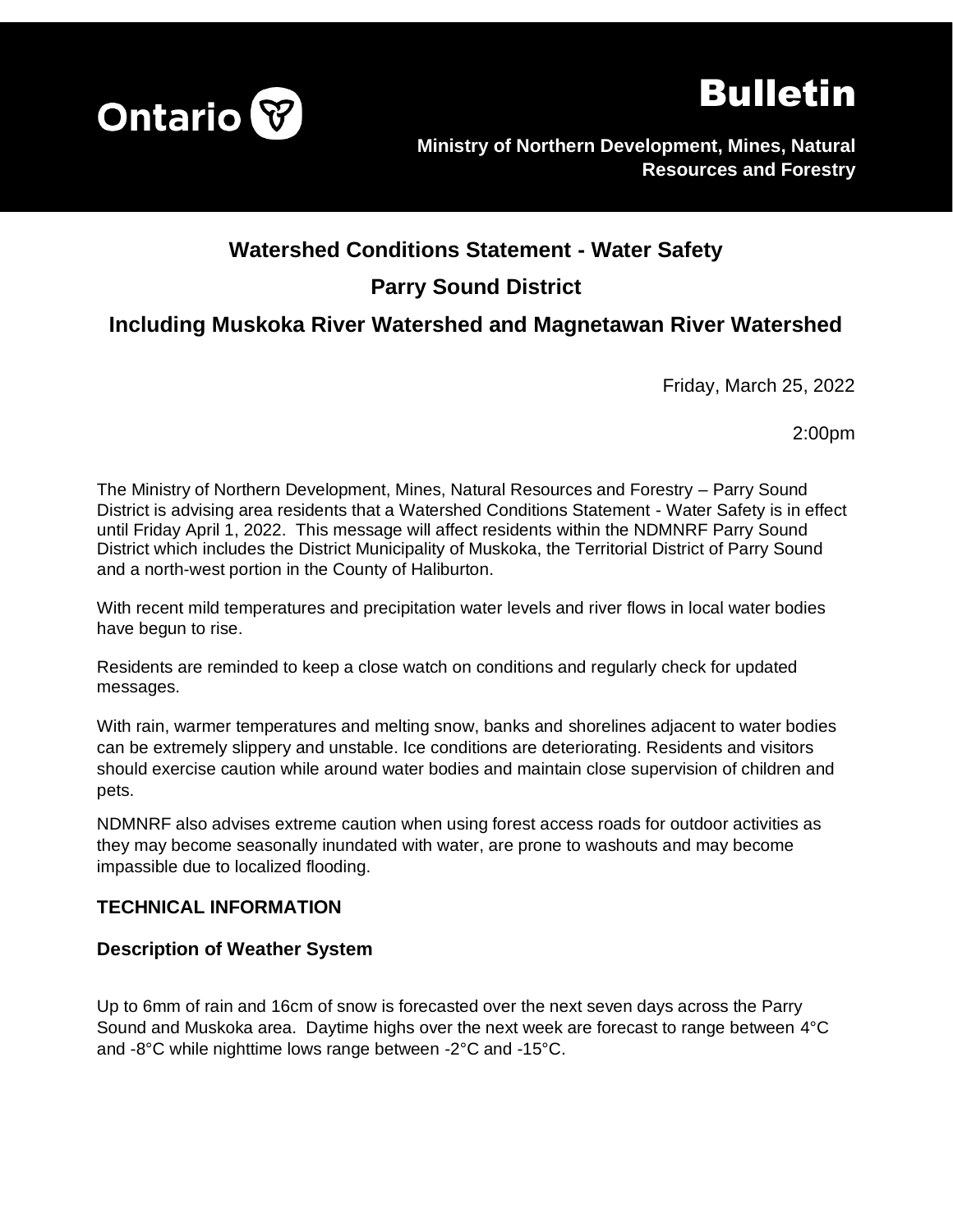



**Ministry of Northern Development, Mines, Natural Resources and Forestry**

# **Watershed Conditions Statement - Water Safety**

# **Parry Sound District**

# **Including Muskoka River Watershed and Magnetawan River Watershed**

Friday, March 25, 2022

2:00pm

The Ministry of Northern Development, Mines, Natural Resources and Forestry – Parry Sound District is advising area residents that a Watershed Conditions Statement - Water Safety is in effect until Friday April 1, 2022. This message will affect residents within the NDMNRF Parry Sound District which includes the District Municipality of Muskoka, the Territorial District of Parry Sound and a north-west portion in the County of Haliburton.

With recent mild temperatures and precipitation water levels and river flows in local water bodies have begun to rise.

Residents are reminded to keep a close watch on conditions and regularly check for updated messages.

With rain, warmer temperatures and melting snow, banks and shorelines adjacent to water bodies can be extremely slippery and unstable. Ice conditions are deteriorating. Residents and visitors should exercise caution while around water bodies and maintain close supervision of children and pets.

NDMNRF also advises extreme caution when using forest access roads for outdoor activities as they may become seasonally inundated with water, are prone to washouts and may become impassible due to localized flooding.

## **TECHNICAL INFORMATION**

#### **Description of Weather System**

Up to 6mm of rain and 16cm of snow is forecasted over the next seven days across the Parry Sound and Muskoka area. Daytime highs over the next week are forecast to range between 4°C and -8°C while nighttime lows range between -2°C and -15°C.